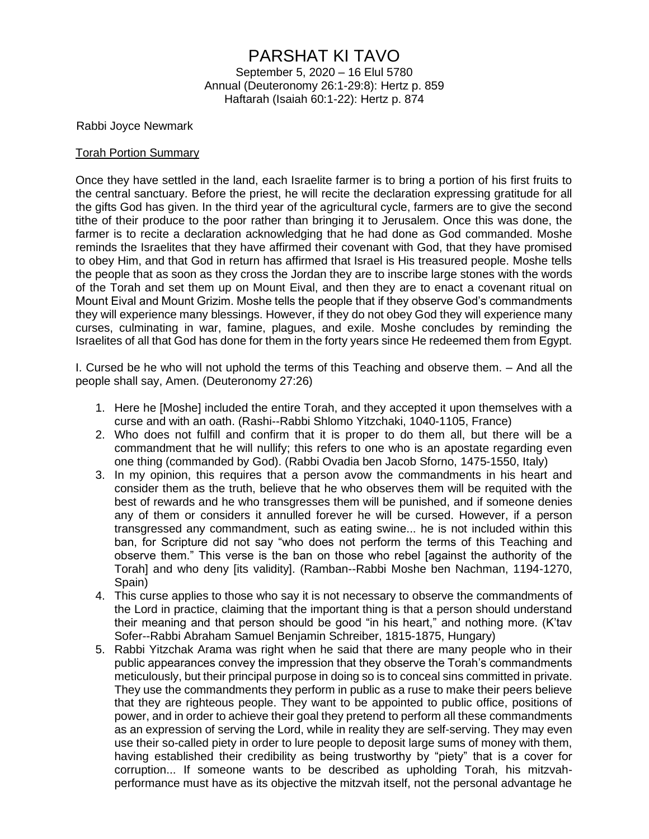## PARSHAT KI TAVO

September 5, 2020 – 16 Elul 5780 Annual (Deuteronomy 26:1-29:8): Hertz p. 859 Haftarah (Isaiah 60:1-22): Hertz p. 874

Rabbi Joyce Newmark

## Torah Portion Summary

Once they have settled in the land, each Israelite farmer is to bring a portion of his first fruits to the central sanctuary. Before the priest, he will recite the declaration expressing gratitude for all the gifts God has given. In the third year of the agricultural cycle, farmers are to give the second tithe of their produce to the poor rather than bringing it to Jerusalem. Once this was done, the farmer is to recite a declaration acknowledging that he had done as God commanded. Moshe reminds the Israelites that they have affirmed their covenant with God, that they have promised to obey Him, and that God in return has affirmed that Israel is His treasured people. Moshe tells the people that as soon as they cross the Jordan they are to inscribe large stones with the words of the Torah and set them up on Mount Eival, and then they are to enact a covenant ritual on Mount Eival and Mount Grizim. Moshe tells the people that if they observe God's commandments they will experience many blessings. However, if they do not obey God they will experience many curses, culminating in war, famine, plagues, and exile. Moshe concludes by reminding the Israelites of all that God has done for them in the forty years since He redeemed them from Egypt.

I. Cursed be he who will not uphold the terms of this Teaching and observe them. – And all the people shall say, Amen. (Deuteronomy 27:26)

- 1. Here he [Moshe] included the entire Torah, and they accepted it upon themselves with a curse and with an oath. (Rashi--Rabbi Shlomo Yitzchaki, 1040-1105, France)
- 2. Who does not fulfill and confirm that it is proper to do them all, but there will be a commandment that he will nullify; this refers to one who is an apostate regarding even one thing (commanded by God). (Rabbi Ovadia ben Jacob Sforno, 1475-1550, Italy)
- 3. In my opinion, this requires that a person avow the commandments in his heart and consider them as the truth, believe that he who observes them will be requited with the best of rewards and he who transgresses them will be punished, and if someone denies any of them or considers it annulled forever he will be cursed. However, if a person transgressed any commandment, such as eating swine... he is not included within this ban, for Scripture did not say "who does not perform the terms of this Teaching and observe them." This verse is the ban on those who rebel [against the authority of the Torah] and who deny [its validity]. (Ramban--Rabbi Moshe ben Nachman, 1194-1270, Spain)
- 4. This curse applies to those who say it is not necessary to observe the commandments of the Lord in practice, claiming that the important thing is that a person should understand their meaning and that person should be good "in his heart," and nothing more. (K'tav Sofer--Rabbi Abraham Samuel Benjamin Schreiber, 1815-1875, Hungary)
- 5. Rabbi Yitzchak Arama was right when he said that there are many people who in their public appearances convey the impression that they observe the Torah's commandments meticulously, but their principal purpose in doing so is to conceal sins committed in private. They use the commandments they perform in public as a ruse to make their peers believe that they are righteous people. They want to be appointed to public office, positions of power, and in order to achieve their goal they pretend to perform all these commandments as an expression of serving the Lord, while in reality they are self-serving. They may even use their so-called piety in order to lure people to deposit large sums of money with them, having established their credibility as being trustworthy by "piety" that is a cover for corruption... If someone wants to be described as upholding Torah, his mitzvahperformance must have as its objective the mitzvah itself, not the personal advantage he